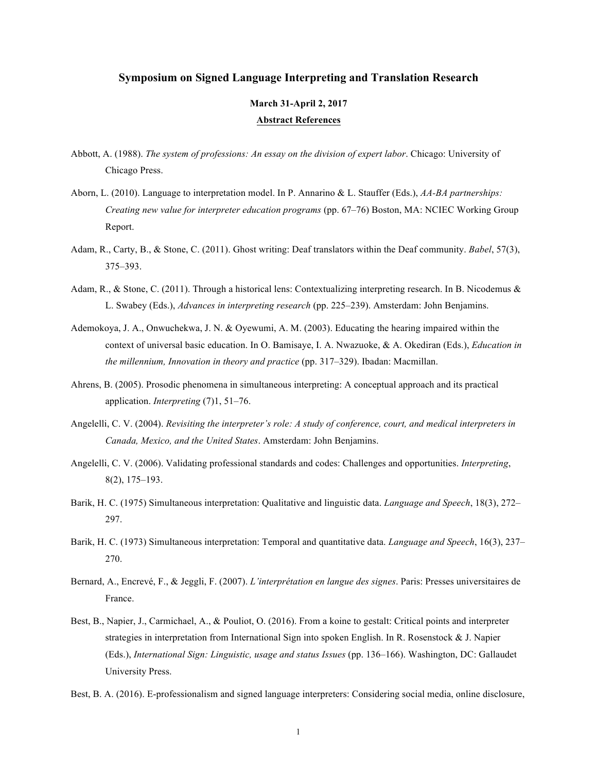## **Symposium on Signed Language Interpreting and Translation Research**

## **March 31-April 2, 2017 Abstract References**

- Abbott, A. (1988). *The system of professions: An essay on the division of expert labor*. Chicago: University of Chicago Press.
- Aborn, L. (2010). Language to interpretation model. In P. Annarino & L. Stauffer (Eds.), *AA-BA partnerships: Creating new value for interpreter education programs* (pp. 67–76) Boston, MA: NCIEC Working Group Report.
- Adam, R., Carty, B., & Stone, C. (2011). Ghost writing: Deaf translators within the Deaf community. *Babel*, 57(3), 375–393.
- Adam, R., & Stone, C. (2011). Through a historical lens: Contextualizing interpreting research. In B. Nicodemus & L. Swabey (Eds.), *Advances in interpreting research* (pp. 225–239). Amsterdam: John Benjamins.
- Ademokoya, J. A., Onwuchekwa, J. N. & Oyewumi, A. M. (2003). Educating the hearing impaired within the context of universal basic education. In O. Bamisaye, I. A. Nwazuoke, & A. Okediran (Eds.), *Education in the millennium, Innovation in theory and practice* (pp. 317–329). Ibadan: Macmillan.
- Ahrens, B. (2005). Prosodic phenomena in simultaneous interpreting: A conceptual approach and its practical application. *Interpreting* (7)1, 51–76.
- Angelelli, C. V. (2004). *Revisiting the interpreter's role: A study of conference, court, and medical interpreters in Canada, Mexico, and the United States*. Amsterdam: John Benjamins.
- Angelelli, C. V. (2006). Validating professional standards and codes: Challenges and opportunities. *Interpreting*, 8(2), 175–193.
- Barik, H. C. (1975) Simultaneous interpretation: Qualitative and linguistic data. *Language and Speech*, 18(3), 272– 297.
- Barik, H. C. (1973) Simultaneous interpretation: Temporal and quantitative data. *Language and Speech*, 16(3), 237– 270.
- Bernard, A., Encrevé, F., & Jeggli, F. (2007). *L'interprétation en langue des signes*. Paris: Presses universitaires de France.
- Best, B., Napier, J., Carmichael, A., & Pouliot, O. (2016). From a koine to gestalt: Critical points and interpreter strategies in interpretation from International Sign into spoken English. In R. Rosenstock  $\&$  J. Napier  (Eds.), *International Sign: Linguistic, usage and status Issues* (pp. 136–166). Washington, DC: Gallaudet University Press.
- Best, B. A. (2016). E-professionalism and signed language interpreters: Considering social media, online disclosure,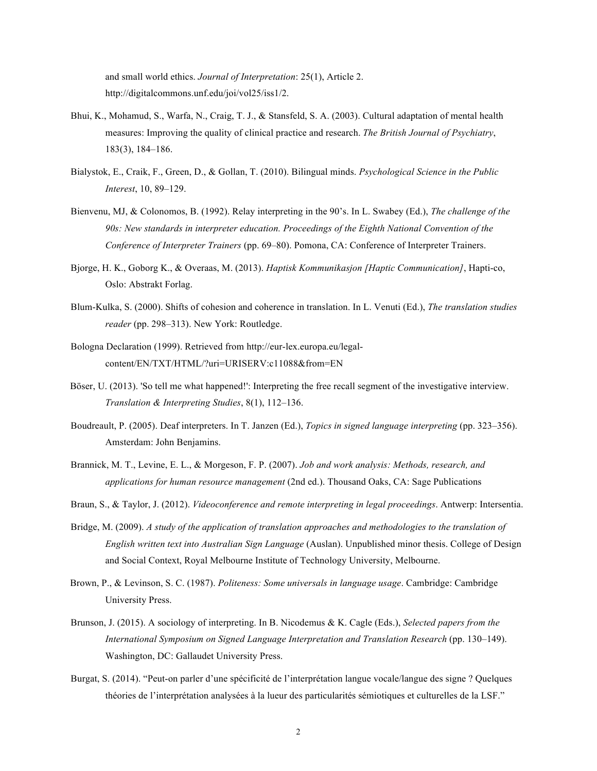and small world ethics. *Journal of Interpretation*: 25(1), Article 2. http://digitalcommons.unf.edu/joi/vol25/iss1/2.

- Bhui, K., Mohamud, S., Warfa, N., Craig, T. J., & Stansfeld, S. A. (2003). Cultural adaptation of mental health measures: Improving the quality of clinical practice and research. *The British Journal of Psychiatry*, 183(3), 184–186.
- Bialystok, E., Craik, F., Green, D., & Gollan, T. (2010). Bilingual minds. *Psychological Science in the Public Interest*, 10, 89–129.
- Bienvenu, MJ, & Colonomos, B. (1992). Relay interpreting in the 90's. In L. Swabey (Ed.), *The challenge of the 90s: New standards in interpreter education. Proceedings of the Eighth National Convention of the Conference of Interpreter Trainers* (pp. 69–80). Pomona, CA: Conference of Interpreter Trainers.
- Bjorge, H. K., Goborg K., & Overaas, M. (2013). *Haptisk Kommunikasjon [Haptic Communication]*, Hapti-co, Oslo: Abstrakt Forlag.
- Blum-Kulka, S. (2000). Shifts of cohesion and coherence in translation. In L. Venuti (Ed.), *The translation studies reader* (pp. 298–313). New York: Routledge.
- Bologna Declaration (1999). Retrieved from http://eur-lex.europa.eu/legalcontent/EN/TXT/HTML/?uri=URISERV:c11088&from=EN
- Böser, U. (2013). 'So tell me what happened!': Interpreting the free recall segment of the investigative interview.  *Translation & Interpreting Studies*, 8(1), 112–136.
- Boudreault, P. (2005). Deaf interpreters. In T. Janzen (Ed.), *Topics in signed language interpreting* (pp. 323–356). Amsterdam: John Benjamins.
- Brannick, M. T., Levine, E. L., & Morgeson, F. P. (2007). *Job and work analysis: Methods, research, and applications for human resource management* (2nd ed.). Thousand Oaks, CA: Sage Publications
- Braun, S., & Taylor, J. (2012). *Videoconference and remote interpreting in legal proceedings*. Antwerp: Intersentia.
- Bridge, M. (2009). *A study of the application of translation approaches and methodologies to the translation of English written text into Australian Sign Language* (Auslan). Unpublished minor thesis. College of Design and Social Context, Royal Melbourne Institute of Technology University, Melbourne.
- Brown, P., & Levinson, S. C. (1987). *Politeness: Some universals in language usage*. Cambridge: Cambridge University Press.
- Brunson, J. (2015). A sociology of interpreting. In B. Nicodemus & K. Cagle (Eds.), *Selected papers from the*  International Symposium on Signed Language Interpretation and Translation Research (pp. 130–149). Washington, DC: Gallaudet University Press.
- Burgat, S. (2014). "Peut-on parler d'une spécificité de l'interprétation langue vocale/langue des signe ? Quelques théories de l'interprétation analysées à la lueur des particularités sémiotiques et culturelles de la LSF."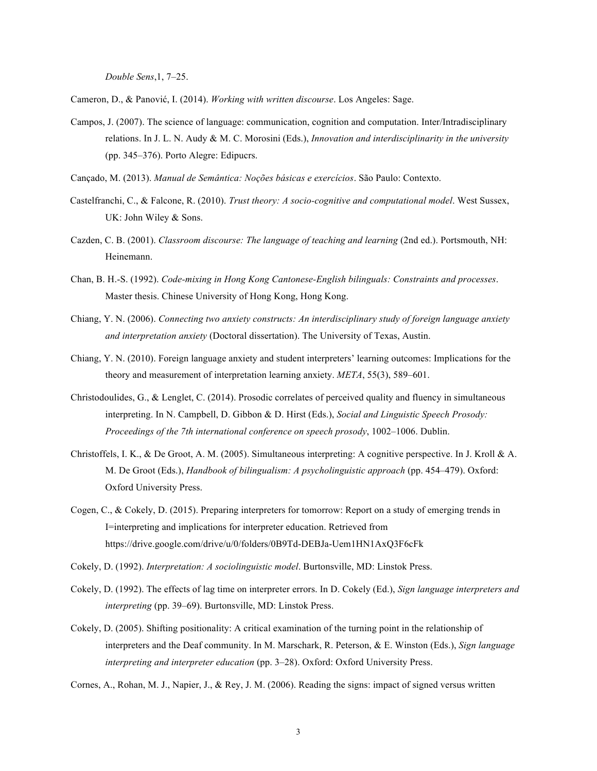*Double Sens*,1, 7–25.

Cameron, D., & Panović, I. (2014). *Working with written discourse*. Los Angeles: Sage.

 Campos, J. (2007). The science of language: communication, cognition and computation. Inter/Intradisciplinary relations. In J. L. N. Audy & M. C. Morosini (Eds.), *Innovation and interdisciplinarity in the university*  (pp. 345–376). Porto Alegre: Edipucrs.

Cançado, M. (2013). *Manual de Semântica: Noções básicas e exercícios*. São Paulo: Contexto.

- Castelfranchi, C., & Falcone, R. (2010). *Trust theory: A socio-cognitive and computational model*. West Sussex, UK: John Wiley & Sons.
- Cazden, C. B. (2001). *Classroom discourse: The language of teaching and learning* (2nd ed.). Portsmouth, NH: Heinemann.
- Chan, B. H.-S. (1992). *Code-mixing in Hong Kong Cantonese-English bilinguals: Constraints and processes*. Master thesis. Chinese University of Hong Kong, Hong Kong.
- Chiang, Y. N. (2006). *Connecting two anxiety constructs: An interdisciplinary study of foreign language anxiety and interpretation anxiety* (Doctoral dissertation). The University of Texas, Austin.
- Chiang, Y. N. (2010). Foreign language anxiety and student interpreters' learning outcomes: Implications for the theory and measurement of interpretation learning anxiety. *META*, 55(3), 589–601.
- Christodoulides, G., & Lenglet, C. (2014). Prosodic correlates of perceived quality and fluency in simultaneous  *Proceedings of the 7th international conference on speech prosody*, 1002–1006. Dublin. interpreting. In N. Campbell, D. Gibbon & D. Hirst (Eds.), *Social and Linguistic Speech Prosody:*
- Christoffels, I. K., & De Groot, A. M. (2005). Simultaneous interpreting: A cognitive perspective. In J. Kroll & A. M. De Groot (Eds.), *Handbook of bilingualism: A psycholinguistic approach* (pp. 454–479). Oxford: Oxford University Press.
- Cogen, C., & Cokely, D. (2015). Preparing interpreters for tomorrow: Report on a study of emerging trends in I=interpreting and implications for interpreter education. Retrieved from https://drive.google.com/drive/u/0/folders/0B9Td-DEBJa-Uem1HN1AxQ3F6cFk

Cokely, D. (1992). *Interpretation: A sociolinguistic model*. Burtonsville, MD: Linstok Press.

- Cokely, D. (1992). The effects of lag time on interpreter errors. In D. Cokely (Ed.), *Sign language interpreters and interpreting* (pp. 39–69). Burtonsville, MD: Linstok Press.
- Cokely, D. (2005). Shifting positionality: A critical examination of the turning point in the relationship of interpreters and the Deaf community. In M. Marschark, R. Peterson, & E. Winston (Eds.), *Sign language interpreting and interpreter education* (pp. 3–28). Oxford: Oxford University Press.

Cornes, A., Rohan, M. J., Napier, J., & Rey, J. M. (2006). Reading the signs: impact of signed versus written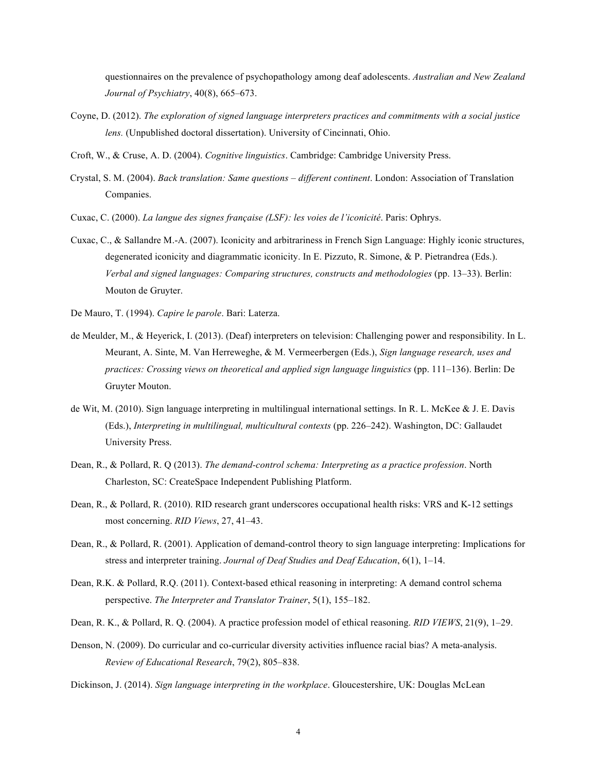questionnaires on the prevalence of psychopathology among deaf adolescents. *Australian and New Zealand Journal of Psychiatry*, 40(8), 665–673.

- Coyne, D. (2012). *The exploration of signed language interpreters practices and commitments with a social justice lens.* (Unpublished doctoral dissertation). University of Cincinnati, Ohio.
- Croft, W., & Cruse, A. D. (2004). *Cognitive linguistics*. Cambridge: Cambridge University Press.
- Crystal, S. M. (2004). *Back translation: Same questions different continent*. London: Association of Translation Companies. Companies. Cuxac, C. (2000). *La langue des signes française (LSF): les voies de l'iconicité*. Paris: Ophrys.
- 
- Cuxac, C., & Sallandre M.-A. (2007). Iconicity and arbitrariness in French Sign Language: Highly iconic structures, degenerated iconicity and diagrammatic iconicity. In E. Pizzuto, R. Simone, & P. Pietrandrea (Eds.).  *Verbal and signed languages: Comparing structures, constructs and methodologies* (pp. 13–33). Berlin: Mouton de Gruyter.
- De Mauro, T. (1994). *Capire le parole*. Bari: Laterza.
- de Meulder, M., & Heyerick, I. (2013). (Deaf) interpreters on television: Challenging power and responsibility. In L. Meurant, A. Sinte, M. Van Herreweghe, & M. Vermeerbergen (Eds.), *Sign language research, uses and practices: Crossing views on theoretical and applied sign language linguistics* (pp. 111–136). Berlin: De Gruyter Mouton.
- de Wit, M. (2010). Sign language interpreting in multilingual international settings. In R. L. McKee & J. E. Davis  (Eds.), *Interpreting in multilingual, multicultural contexts* (pp. 226–242). Washington, DC: Gallaudet University Press.
- Dean, R., & Pollard, R. Q (2013). *The demand-control schema: Interpreting as a practice profession*. North Charleston, SC: CreateSpace Independent Publishing Platform.
- Dean, R., & Pollard, R. (2010). RID research grant underscores occupational health risks: VRS and K-12 settings most concerning. *RID Views*, 27, 41–43.
- Dean, R., & Pollard, R. (2001). Application of demand-control theory to sign language interpreting: Implications for stress and interpreter training. *Journal of Deaf Studies and Deaf Education*, 6(1), 1–14.
- Dean, R.K. & Pollard, R.Q. (2011). Context-based ethical reasoning in interpreting: A demand control schema  perspective. *The Interpreter and Translator Trainer*, 5(1), 155–182.
- Dean, R. K., & Pollard, R. Q. (2004). A practice profession model of ethical reasoning. *RID VIEWS*, 21(9), 1–29.
- Denson, N. (2009). Do curricular and co-curricular diversity activities influence racial bias? A meta-analysis.  *Review of Educational Research*, 79(2), 805–838.
- Dickinson, J. (2014). *Sign language interpreting in the workplace*. Gloucestershire, UK: Douglas McLean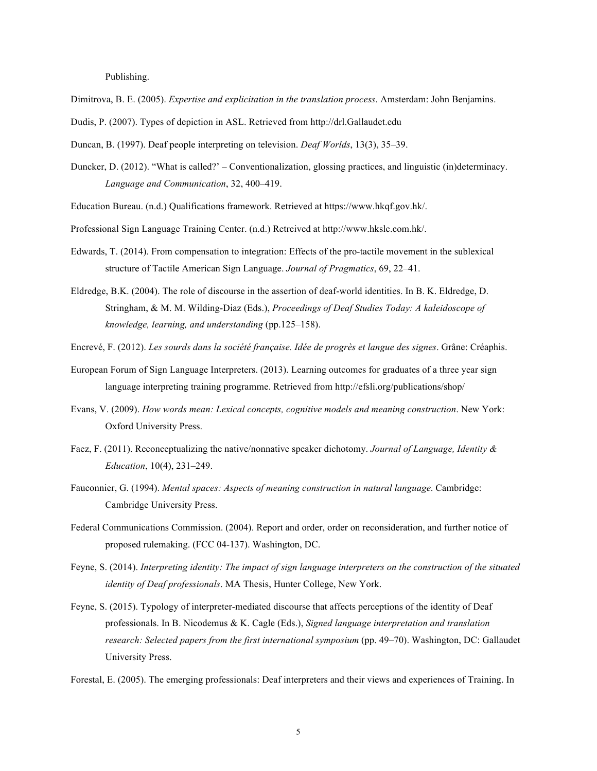Publishing.

- Dimitrova, B. E. (2005). *Expertise and explicitation in the translation process*. Amsterdam: John Benjamins.
- Dudis, P. (2007). Types of depiction in ASL. Retrieved from http://drl.Gallaudet.edu
- Duncan, B. (1997). Deaf people interpreting on television. *Deaf Worlds*, 13(3), 35–39.
- Duncker, D. (2012). "What is called?' Conventionalization, glossing practices, and linguistic (in)determinacy.  *Language and Communication*, 32, 400–419.
- Education Bureau. (n.d.) Qualifications framework. Retrieved at https://www.hkqf.gov.hk/.
- Professional Sign Language Training Center. (n.d.) Retreived at http://www.hkslc.com.hk/.
- Edwards, T. (2014). From compensation to integration: Effects of the pro-tactile movement in the sublexical structure of Tactile American Sign Language. *Journal of Pragmatics*, 69, 22–41.
- Eldredge, B.K. (2004). The role of discourse in the assertion of deaf-world identities. In B. K. Eldredge, D. Stringham, & M. M. Wilding-Diaz (Eds.), *Proceedings of Deaf Studies Today: A kaleidoscope of knowledge, learning, and understanding* (pp.125–158).
- Encrevé, F. (2012). *Les sourds dans la société française. Idée de progrès et langue des signes*. Grâne: Créaphis.
- European Forum of Sign Language Interpreters. (2013). Learning outcomes for graduates of a three year sign language interpreting training programme. Retrieved from http://efsli.org/publications/shop/
- Evans, V. (2009). *How words mean: Lexical concepts, cognitive models and meaning construction*. New York: Oxford University Press.
- Faez, F. (2011). Reconceptualizing the native/nonnative speaker dichotomy. *Journal of Language, Identity & Education*, 10(4), 231–249.
- Fauconnier, G. (1994). *Mental spaces: Aspects of meaning construction in natural language*. Cambridge: Cambridge University Press.
- Federal Communications Commission. (2004). Report and order, order on reconsideration, and further notice of proposed rulemaking. (FCC 04-137). Washington, DC.
- Feyne, S. (2014). *Interpreting identity: The impact of sign language interpreters on the construction of the situated identity of Deaf professionals*. MA Thesis, Hunter College, New York.
- Feyne, S. (2015). Typology of interpreter-mediated discourse that affects perceptions of the identity of Deaf professionals. In B. Nicodemus & K. Cagle (Eds.), *Signed language interpretation and translation research: Selected papers from the first international symposium* (pp. 49–70). Washington, DC: Gallaudet University Press.
- Forestal, E. (2005). The emerging professionals: Deaf interpreters and their views and experiences of Training. In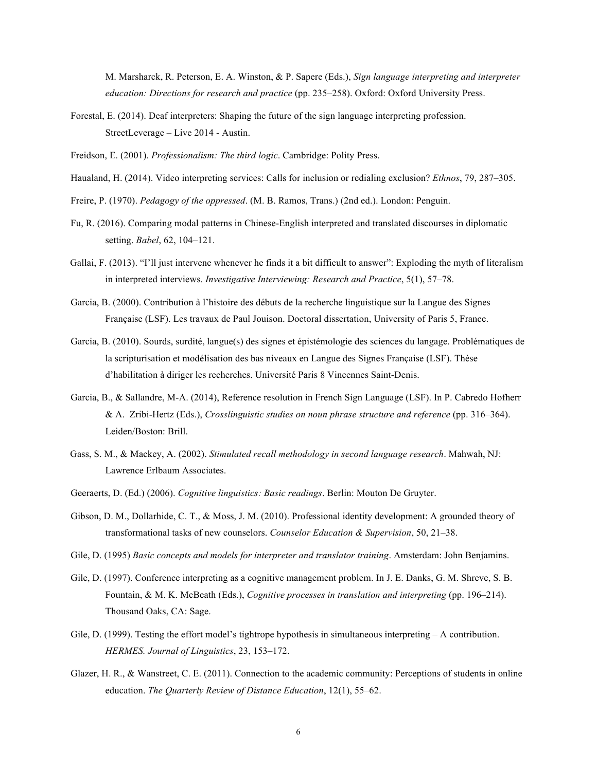M. Marsharck, R. Peterson, E. A. Winston, & P. Sapere (Eds.), *Sign language interpreting and interpreter education: Directions for research and practice* (pp. 235–258). Oxford: Oxford University Press.

 Forestal, E. (2014). Deaf interpreters: Shaping the future of the sign language interpreting profession. StreetLeverage – Live 2014 - Austin.

Freidson, E. (2001). *Professionalism: The third logic*. Cambridge: Polity Press.

- Haualand, H. (2014). Video interpreting services: Calls for inclusion or redialing exclusion? *Ethnos*, 79, 287–305.
- Freire, P. (1970). *Pedagogy of the oppressed*. (M. B. Ramos, Trans.) (2nd ed.). London: Penguin.
- Fu, R. (2016). Comparing modal patterns in Chinese-English interpreted and translated discourses in diplomatic setting. *Babel*, 62, 104–121.
- Gallai, F. (2013). "I'll just intervene whenever he finds it a bit difficult to answer": Exploding the myth of literalism  in interpreted interviews. *Investigative Interviewing: Research and Practice*, 5(1), 57–78.
- Garcia, B. (2000). Contribution à l'histoire des débuts de la recherche linguistique sur la Langue des Signes Française (LSF). Les travaux de Paul Jouison. Doctoral dissertation, University of Paris 5, France.
- Garcia, B. (2010). Sourds, surdité, langue(s) des signes et épistémologie des sciences du langage. Problématiques de d'habilitation à diriger les recherches. Université Paris 8 Vincennes Saint-Denis. la scripturisation et modélisation des bas niveaux en Langue des Signes Française (LSF). Thèse
- Garcia, B., & Sallandre, M-A. (2014), Reference resolution in French Sign Language (LSF). In P. Cabredo Hofherr & A. Zribi-Hertz (Eds.), *Crosslinguistic studies on noun phrase structure and reference* (pp. 316–364). Leiden/Boston: Brill.
- Gass, S. M., & Mackey, A. (2002). *Stimulated recall methodology in second language research*. Mahwah, NJ: Lawrence Erlbaum Associates.
- Geeraerts, D. (Ed.) (2006). *Cognitive linguistics: Basic readings*. Berlin: Mouton De Gruyter.
- Gibson, D. M., Dollarhide, C. T., & Moss, J. M. (2010). Professional identity development: A grounded theory of  transformational tasks of new counselors. *Counselor Education & Supervision*, 50, 21–38.
- Gile, D. (1995) *Basic concepts and models for interpreter and translator training*. Amsterdam: John Benjamins.
- Gile, D. (1997). Conference interpreting as a cognitive management problem. In J. E. Danks, G. M. Shreve, S. B. Fountain, & M. K. McBeath (Eds.), *Cognitive processes in translation and interpreting* (pp. 196–214). Thousand Oaks, CA: Sage.
- Gile, D. (1999). Testing the effort model's tightrope hypothesis in simultaneous interpreting A contribution.  *HERMES. Journal of Linguistics*, 23, 153–172.
- Glazer, H. R., & Wanstreet, C. E. (2011). Connection to the academic community: Perceptions of students in online  education. *The Quarterly Review of Distance Education*, 12(1), 55–62.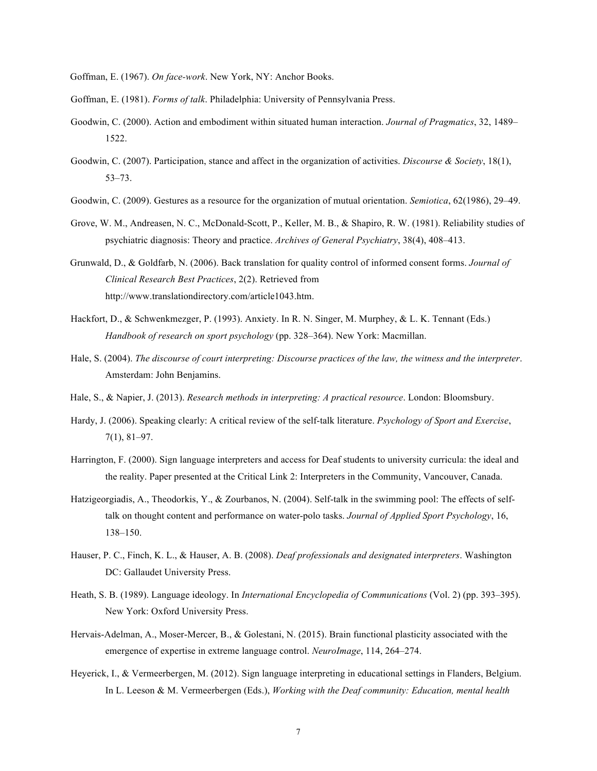- Goffman, E. (1967). *On face-work*. New York, NY: Anchor Books.
- Goffman, E. (1981). *Forms of talk*. Philadelphia: University of Pennsylvania Press.
- Goodwin, C. (2000). Action and embodiment within situated human interaction. *Journal of Pragmatics*, 32, 1489– 1522.
- Goodwin, C. (2007). Participation, stance and affect in the organization of activities. *Discourse & Society*, 18(1), 53–73.
- Goodwin, C. (2009). Gestures as a resource for the organization of mutual orientation. *Semiotica*, 62(1986), 29–49.
- Grove, W. M., Andreasen, N. C., McDonald-Scott, P., Keller, M. B., & Shapiro, R. W. (1981). Reliability studies of psychiatric diagnosis: Theory and practice. *Archives of General Psychiatry*, 38(4), 408–413.
- Grunwald, D., & Goldfarb, N. (2006). Back translation for quality control of informed consent forms. *Journal of Clinical Research Best Practices*, 2(2). Retrieved from http://www.translationdirectory.com/article1043.htm.
- Hackfort, D., & Schwenkmezger, P. (1993). Anxiety. In R. N. Singer, M. Murphey, & L. K. Tennant (Eds.)  *Handbook of research on sport psychology* (pp. 328–364). New York: Macmillan.
- Hale, S. (2004). *The discourse of court interpreting: Discourse practices of the law, the witness and the interpreter*. Amsterdam: John Benjamins.
- Hale, S., & Napier, J. (2013). *Research methods in interpreting: A practical resource*. London: Bloomsbury.
- Hardy, J. (2006). Speaking clearly: A critical review of the self-talk literature. *Psychology of Sport and Exercise*, 7(1), 81–97.
- Harrington, F. (2000). Sign language interpreters and access for Deaf students to university curricula: the ideal and the reality. Paper presented at the Critical Link 2: Interpreters in the Community, Vancouver, Canada.
- Hatzigeorgiadis, A., Theodorkis, Y., & Zourbanos, N. (2004). Self-talk in the swimming pool: The effects of self- talk on thought content and performance on water-polo tasks. *Journal of Applied Sport Psychology*, 16, 138–150.
- Hauser, P. C., Finch, K. L., & Hauser, A. B. (2008). *Deaf professionals and designated interpreters*. Washington DC: Gallaudet University Press.
- Heath, S. B. (1989). Language ideology. In *International Encyclopedia of Communications* (Vol. 2) (pp. 393–395). New York: Oxford University Press.
- Hervais-Adelman, A., Moser-Mercer, B., & Golestani, N. (2015). Brain functional plasticity associated with the emergence of expertise in extreme language control. *NeuroImage*, 114, 264–274.
- Heyerick, I., & Vermeerbergen, M. (2012). Sign language interpreting in educational settings in Flanders, Belgium. In L. Leeson & M. Vermeerbergen (Eds.), *Working with the Deaf community: Education, mental health*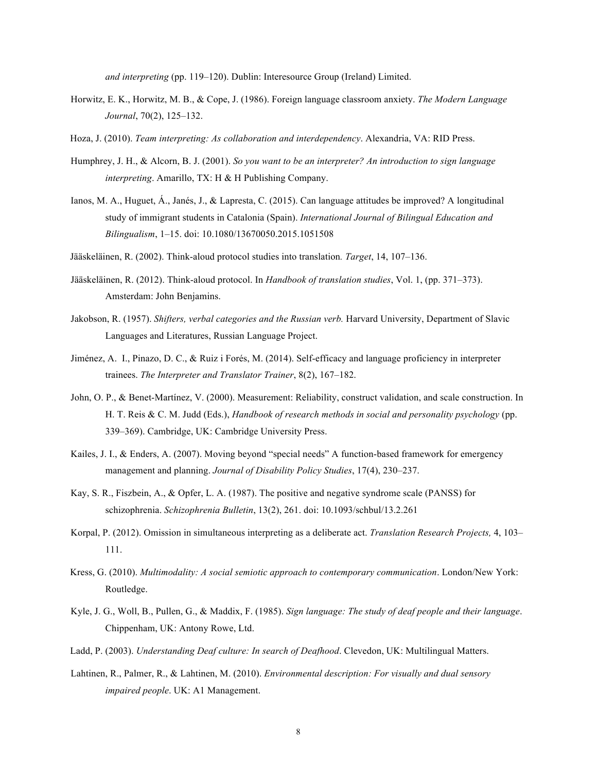*and interpreting* (pp. 119–120). Dublin: Interesource Group (Ireland) Limited.

- Horwitz, E. K., Horwitz, M. B., & Cope, J. (1986). Foreign language classroom anxiety. *The Modern Language Journal*, 70(2), 125–132.
- Hoza, J. (2010). *Team interpreting: As collaboration and interdependency*. Alexandria, VA: RID Press.
- Humphrey, J. H., & Alcorn, B. J. (2001). *So you want to be an interpreter? An introduction to sign language interpreting*. Amarillo, TX: H & H Publishing Company.
- Ianos, M. A., Huguet, Á., Janés, J., & Lapresta, C. (2015). Can language attitudes be improved? A longitudinal study of immigrant students in Catalonia (Spain). *International Journal of Bilingual Education and Bilingualism*, 1–15. doi: 10.1080/13670050.2015.1051508
- Jääskeläinen, R. (2002). Think-aloud protocol studies into translation*. Target*, 14, 107–136.
- Jääskeläinen, R. (2012). Think-aloud protocol. In *Handbook of translation studies*, Vol. 1, (pp. 371–373). Amsterdam: John Benjamins.
- Jakobson, R. (1957). *Shifters, verbal categories and the Russian verb.* Harvard University, Department of Slavic Languages and Literatures, Russian Language Project.
- Jiménez, A. I., Pinazo, D. C., & Ruiz i Forés, M. (2014). Self-efficacy and language proficiency in interpreter  trainees. *The Interpreter and Translator Trainer*, 8(2), 167–182.
- John, O. P., & Benet-Martínez, V. (2000). Measurement: Reliability, construct validation, and scale construction. In H. T. Reis & C. M. Judd (Eds.), *Handbook of research methods in social and personality psychology* (pp. 339–369). Cambridge, UK: Cambridge University Press.
- Kailes, J. I., & Enders, A. (2007). Moving beyond "special needs" A function-based framework for emergency management and planning. *Journal of Disability Policy Studies*, 17(4), 230–237.
- Kay, S. R., Fiszbein, A., & Opfer, L. A. (1987). The positive and negative syndrome scale (PANSS) for schizophrenia. *Schizophrenia Bulletin*, 13(2), 261. doi: 10.1093/schbul/13.2.261
- Korpal, P. (2012). Omission in simultaneous interpreting as a deliberate act. *Translation Research Projects,* 4, 103– 111.
- Kress, G. (2010). *Multimodality: A social semiotic approach to contemporary communication*. London/New York: Routledge.
- Kyle, J. G., Woll, B., Pullen, G., & Maddix, F. (1985). *Sign language: The study of deaf people and their language*. Chippenham, UK: Antony Rowe, Ltd.
- Ladd, P. (2003). *Understanding Deaf culture: In search of Deafhood*. Clevedon, UK: Multilingual Matters.
- Lahtinen, R., Palmer, R., & Lahtinen, M. (2010). *Environmental description: For visually and dual sensory impaired people*. UK: A1 Management.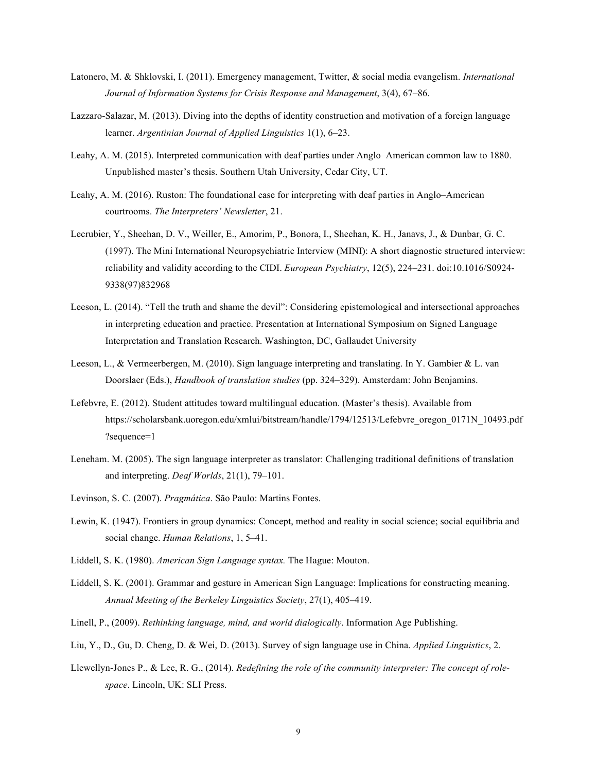- Latonero, M. & Shklovski, I. (2011). Emergency management, Twitter, & social media evangelism. *International Journal of Information Systems for Crisis Response and Management*, 3(4), 67–86.
- Lazzaro-Salazar, M. (2013). Diving into the depths of identity construction and motivation of a foreign language  learner. *Argentinian Journal of Applied Linguistics* 1(1), 6–23.
- Leahy, A. M. (2015). Interpreted communication with deaf parties under Anglo–American common law to 1880. Unpublished master's thesis. Southern Utah University, Cedar City, UT.
- Leahy, A. M. (2016). Ruston: The foundational case for interpreting with deaf parties in Anglo–American courtrooms. *The Interpreters' Newsletter*, 21.
- Lecrubier, Y., Sheehan, D. V., Weiller, E., Amorim, P., Bonora, I., Sheehan, K. H., Janavs, J., & Dunbar, G. C. (1997). The Mini International Neuropsychiatric Interview (MINI): A short diagnostic structured interview: reliability and validity according to the CIDI. *European Psychiatry*, 12(5), 224–231. doi:10.1016/S0924- 9338(97)832968
- Leeson, L. (2014). "Tell the truth and shame the devil": Considering epistemological and intersectional approaches in interpreting education and practice. Presentation at International Symposium on Signed Language Interpretation and Translation Research. Washington, DC, Gallaudet University
- Leeson, L., & Vermeerbergen, M. (2010). Sign language interpreting and translating. In Y. Gambier & L. van Doorslaer (Eds.), *Handbook of translation studies* (pp. 324–329). Amsterdam: John Benjamins.
- Lefebvre, E. (2012). Student attitudes toward multilingual education. (Master's thesis). Available from https://scholarsbank.uoregon.edu/xmlui/bitstream/handle/1794/12513/Lefebvre\_oregon\_0171N\_10493.pdf ?sequence=1
- Leneham. M. (2005). The sign language interpreter as translator: Challenging traditional definitions of translation and interpreting. *Deaf Worlds*, 21(1), 79–101.
- Levinson, S. C. (2007). *Pragmática*. São Paulo: Martins Fontes.
- Lewin, K. (1947). Frontiers in group dynamics: Concept, method and reality in social science; social equilibria and social change. *Human Relations*, 1, 5–41.
- Liddell, S. K. (1980). *American Sign Language syntax.* The Hague: Mouton.
- Liddell, S. K. (2001). Grammar and gesture in American Sign Language: Implications for constructing meaning.  *Annual Meeting of the Berkeley Linguistics Society*, 27(1), 405–419.
- Linell, P., (2009). *Rethinking language, mind, and world dialogically*. Information Age Publishing.
- Liu, Y., D., Gu, D. Cheng, D. & Wei, D. (2013). Survey of sign language use in China. *Applied Linguistics*, 2.
- Llewellyn-Jones P., & Lee, R. G., (2014). *Redefining the role of the community interpreter: The concept of rolespace*. Lincoln, UK: SLI Press.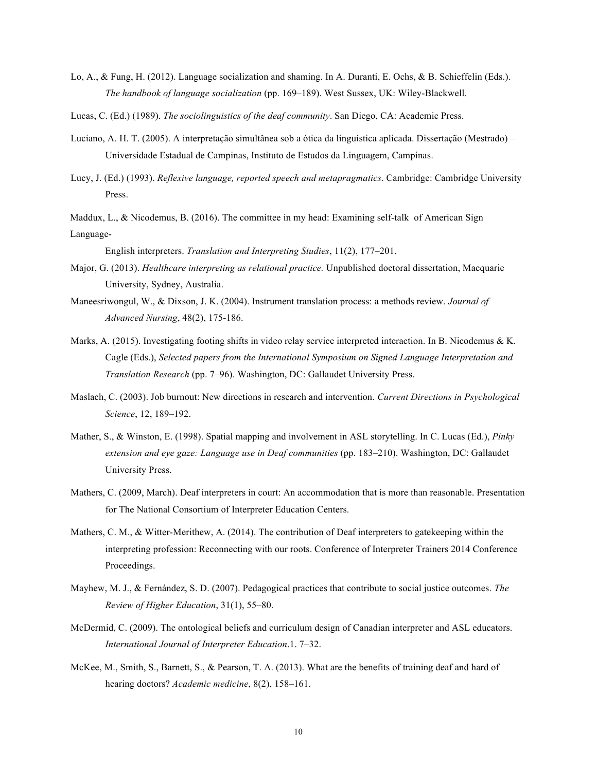- Lo, A., & Fung, H. (2012). Language socialization and shaming. In A. Duranti, E. Ochs, & B. Schieffelin (Eds.).  *The handbook of language socialization* (pp. 169–189). West Sussex, UK: Wiley-Blackwell.
- Lucas, C. (Ed.) (1989). *The sociolinguistics of the deaf community*. San Diego, CA: Academic Press.
- Luciano, A. H. T. (2005). A interpretação simultânea sob a ótica da linguística aplicada. Dissertação (Mestrado) Universidade Estadual de Campinas, Instituto de Estudos da Linguagem, Campinas.
- Lucy, J. (Ed.) (1993). *Reflexive language, reported speech and metapragmatics*. Cambridge: Cambridge University Press.
- Maddux, L., & Nicodemus, B. (2016). The committee in my head: Examining self-talk of American Sign Language-

 English interpreters. *Translation and Interpreting Studies*, 11(2), 177–201.

- Major, G. (2013). *Healthcare interpreting as relational practice.* Unpublished doctoral dissertation, Macquarie University, Sydney, Australia.
- Maneesriwongul, W., & Dixson, J. K. (2004). Instrument translation process: a methods review. *Journal of Advanced Nursing*, 48(2), 175-186.
- Marks, A. (2015). Investigating footing shifts in video relay service interpreted interaction. In B. Nicodemus & K. Cagle (Eds.), *Selected papers from the International Symposium on Signed Language Interpretation and Translation Research* (pp. 7–96). Washington, DC: Gallaudet University Press.
- Maslach, C. (2003). Job burnout: New directions in research and intervention. *Current Directions in Psychological Science*, 12, 189–192.
- Mather, S., & Winston, E. (1998). Spatial mapping and involvement in ASL storytelling. In C. Lucas (Ed.), *Pinky extension and eye gaze: Language use in Deaf communities* (pp. 183–210). Washington, DC: Gallaudet University Press.
- Mathers, C. (2009, March). Deaf interpreters in court: An accommodation that is more than reasonable. Presentation for The National Consortium of Interpreter Education Centers.
- Mathers, C. M., & Witter-Merithew, A. (2014). The contribution of Deaf interpreters to gatekeeping within the interpreting profession: Reconnecting with our roots. Conference of Interpreter Trainers 2014 Conference Proceedings.
- Mayhew, M. J., & Fernández, S. D. (2007). Pedagogical practices that contribute to social justice outcomes. *The Review of Higher Education*, 31(1), 55–80.
- McDermid, C. (2009). The ontological beliefs and curriculum design of Canadian interpreter and ASL educators.  *International Journal of Interpreter Education*.1. 7–32.
- McKee, M., Smith, S., Barnett, S., & Pearson, T. A. (2013). What are the benefits of training deaf and hard of hearing doctors? *Academic medicine*, 8(2), 158–161.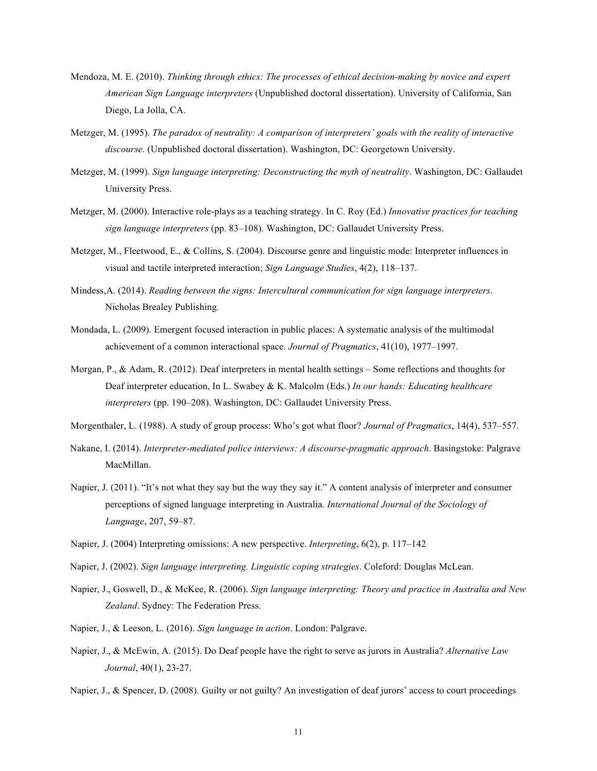- Mendoza, M. E. (2010). *Thinking through ethics: The processes of ethical decision-making by novice and expert American Sign Language interpreters* (Unpublished doctoral dissertation). University of California, San Diego, La Jolla, CA.
- Metzger, M. (1995). *The paradox of neutrality: A comparison of interpreters' goals with the reality of interactive discourse.* (Unpublished doctoral dissertation). Washington, DC: Georgetown University.
- Metzger, M. (1999). *Sign language interpreting: Deconstructing the myth of neutrality*. Washington, DC: Gallaudet University Press.
- Metzger, M. (2000). Interactive role-plays as a teaching strategy. In C. Roy (Ed.) *Innovative practices for teaching sign language interpreters* (pp. 83–108). Washington, DC: Gallaudet University Press.
- Metzger, M., Fleetwood, E., & Collins, S. (2004). Discourse genre and linguistic mode: Interpreter influences in visual and tactile interpreted interaction; *Sign Language Studies*, 4(2), 118–137.
- Mindess,A. (2014). *Reading between the signs: Intercultural communication for sign language interpreters*. Nicholas Brealey Publishing.
- Mondada, L. (2009). Emergent focused interaction in public places: A systematic analysis of the multimodal achievement of a common interactional space. *Journal of Pragmatics*, 41(10), 1977–1997.
- Morgan, P., & Adam, R. (2012). Deaf interpreters in mental health settings Some reflections and thoughts for Deaf interpreter education, In L. Swabey & K. Malcolm (Eds.) *In our hands: Educating healthcare interpreters* (pp. 190–208). Washington, DC: Gallaudet University Press.
- Morgenthaler, L. (1988). A study of group process: Who's got what floor? *Journal of Pragmatics*, 14(4), 537–557.
- Nakane, I. (2014). *Interpreter-mediated police interviews: A discourse-pragmatic approach*. Basingstoke: Palgrave MacMillan.
- Napier, J. (2011). "It's not what they say but the way they say it." A content analysis of interpreter and consumer perceptions of signed language interpreting in Australia. *International Journal of the Sociology of Language*, 207, 59–87.
- Napier, J. (2004) Interpreting omissions: A new perspective. *Interpreting*, 6(2), p. 117–142
- Napier, J. (2002). *Sign language interpreting. Linguistic coping strategies*. Coleford: Douglas McLean.
- Napier, J., Goswell, D., & McKee, R. (2006). *Sign language interpreting: Theory and practice in Australia and New Zealand*. Sydney: The Federation Press.
- Napier, J., & Leeson, L. (2016). *Sign language in action*. London: Palgrave.
- Napier, J., & McEwin, A. (2015). Do Deaf people have the right to serve as jurors in Australia? *Alternative Law Journal*, 40(1), 23-27.
- Napier, J., & Spencer, D. (2008). Guilty or not guilty? An investigation of deaf jurors' access to court proceedings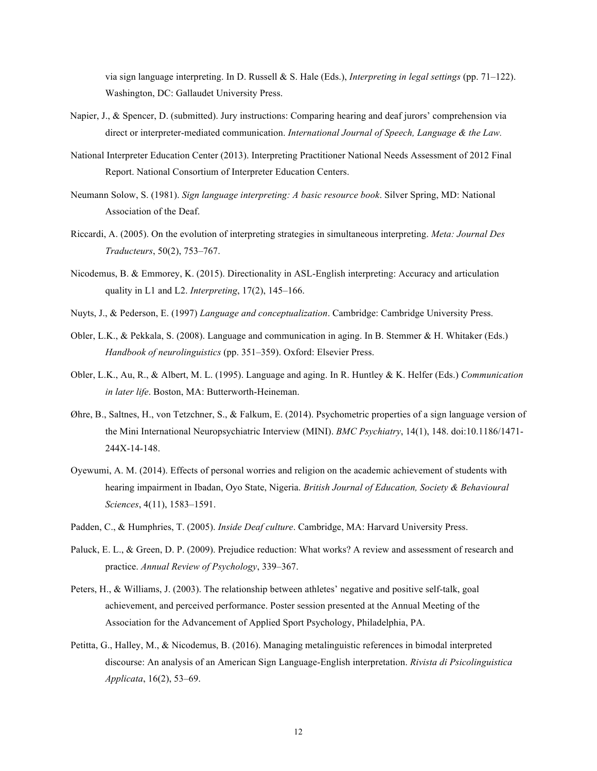via sign language interpreting. In D. Russell & S. Hale (Eds.), *Interpreting in legal settings* (pp. 71–122). Washington, DC: Gallaudet University Press.

- Napier, J., & Spencer, D. (submitted). Jury instructions: Comparing hearing and deaf jurors' comprehension via direct or interpreter-mediated communication. *International Journal of Speech, Language & the Law.*
- National Interpreter Education Center (2013). Interpreting Practitioner National Needs Assessment of 2012 Final Report. National Consortium of Interpreter Education Centers.
- Neumann Solow, S. (1981). *Sign language interpreting: A basic resource book*. Silver Spring, MD: National Association of the Deaf.
- Riccardi, A. (2005). On the evolution of interpreting strategies in simultaneous interpreting. *Meta: Journal Des Traducteurs*, 50(2), 753–767.
- Nicodemus, B. & Emmorey, K. (2015). Directionality in ASL-English interpreting: Accuracy and articulation quality in L1 and L2. *Interpreting*, 17(2), 145–166.
- Nuyts, J., & Pederson, E. (1997) *Language and conceptualization*. Cambridge: Cambridge University Press.
- Obler, L.K., & Pekkala, S. (2008). Language and communication in aging. In B. Stemmer & H. Whitaker (Eds.)  *Handbook of neurolinguistics* (pp. 351–359). Oxford: Elsevier Press.
- Obler, L.K., Au, R., & Albert, M. L. (1995). Language and aging. In R. Huntley & K. Helfer (Eds.) *Communication in later life*. Boston, MA: Butterworth-Heineman.
- Øhre, B., Saltnes, H., von Tetzchner, S., & Falkum, E. (2014). Psychometric properties of a sign language version of the Mini International Neuropsychiatric Interview (MINI). *BMC Psychiatry*, 14(1), 148. doi:10.1186/1471- 244X-14-148.
- Oyewumi, A. M. (2014). Effects of personal worries and religion on the academic achievement of students with hearing impairment in Ibadan, Oyo State, Nigeria. *British Journal of Education, Society & Behavioural Sciences*, 4(11), 1583–1591.
- Padden, C., & Humphries, T. (2005). *Inside Deaf culture*. Cambridge, MA: Harvard University Press.
- Paluck, E. L., & Green, D. P. (2009). Prejudice reduction: What works? A review and assessment of research and  practice. *Annual Review of Psychology*, 339–367.
- Peters, H., & Williams, J. (2003). The relationship between athletes' negative and positive self-talk, goal achievement, and perceived performance. Poster session presented at the Annual Meeting of the Association for the Advancement of Applied Sport Psychology, Philadelphia, PA.
- Petitta, G., Halley, M., & Nicodemus, B. (2016). Managing metalinguistic references in bimodal interpreted discourse: An analysis of an American Sign Language-English interpretation. *Rivista di Psicolinguistica Applicata*, 16(2), 53–69.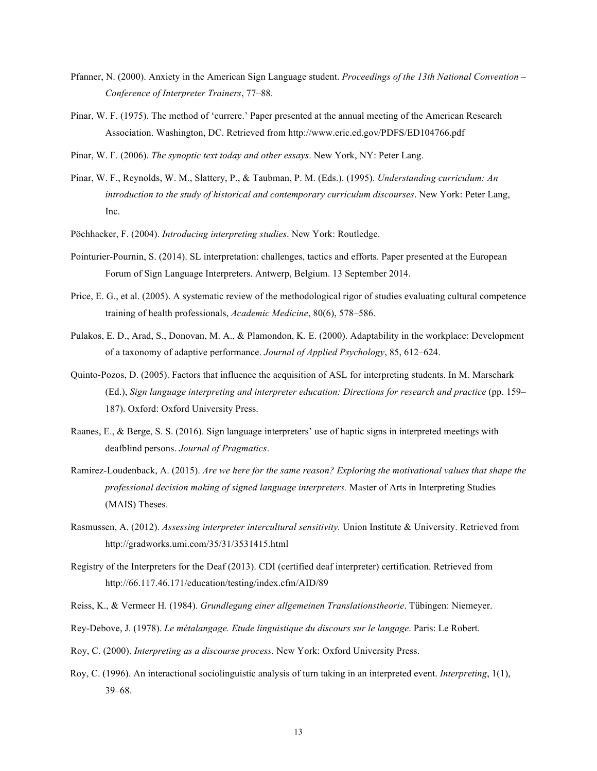- Pfanner, N. (2000). Anxiety in the American Sign Language student. *Proceedings of the 13th National Convention Conference of Interpreter Trainers*, 77–88.
- Pinar, W. F. (1975). The method of 'currere.' Paper presented at the annual meeting of the American Research Association. Washington, DC. Retrieved from http://www.eric.ed.gov/PDFS/ED104766.pdf
- Pinar, W. F. (2006). *The synoptic text today and other essays*. New York, NY: Peter Lang.
- Pinar, W. F., Reynolds, W. M., Slattery, P., & Taubman, P. M. (Eds.). (1995). *Understanding curriculum: An introduction to the study of historical and contemporary curriculum discourses*. New York: Peter Lang, Inc.
- Pöchhacker, F. (2004). *Introducing interpreting studies*. New York: Routledge.
- Pointurier-Pournin, S. (2014). SL interpretation: challenges, tactics and efforts. Paper presented at the European Forum of Sign Language Interpreters. Antwerp, Belgium. 13 September 2014.
- Price, E. G., et al. (2005). A systematic review of the methodological rigor of studies evaluating cultural competence training of health professionals, *Academic Medicine*, 80(6), 578–586.
- Pulakos, E. D., Arad, S., Donovan, M. A., & Plamondon, K. E. (2000). Adaptability in the workplace: Development of a taxonomy of adaptive performance. *Journal of Applied Psychology*, 85, 612–624.
- Quinto-Pozos, D. (2005). Factors that influence the acquisition of ASL for interpreting students. In M. Marschark  (Ed.), *Sign language interpreting and interpreter education: Directions for research and practice* (pp. 159– 187). Oxford: Oxford University Press.
- Raanes, E., & Berge, S. S. (2016). Sign language interpreters' use of haptic signs in interpreted meetings with  deafblind persons. *Journal of Pragmatics*.
- Ramirez-Loudenback, A. (2015). *Are we here for the same reason? Exploring the motivational values that shape the professional decision making of signed language interpreters.* Master of Arts in Interpreting Studies (MAIS) Theses.
- Rasmussen, A. (2012). *Assessing interpreter intercultural sensitivity.* Union Institute & University. Retrieved from http://gradworks.umi.com/35/31/3531415.html
- Registry of the Interpreters for the Deaf (2013). CDI (certified deaf interpreter) certification. Retrieved from http://66.117.46.171/education/testing/index.cfm/AID/89
- Reiss, K., & Vermeer H. (1984). *Grundlegung einer allgemeinen Translationstheorie*. Tübingen: Niemeyer.
- Rey-Debove, J. (1978). *Le métalangage. Etude linguistique du discours sur le langage*. Paris: Le Robert.
- Roy, C. (2000). *Interpreting as a discourse process*. New York: Oxford University Press.
- Roy, C. (1996). An interactional sociolinguistic analysis of turn taking in an interpreted event. *Interpreting*, 1(1), 39–68.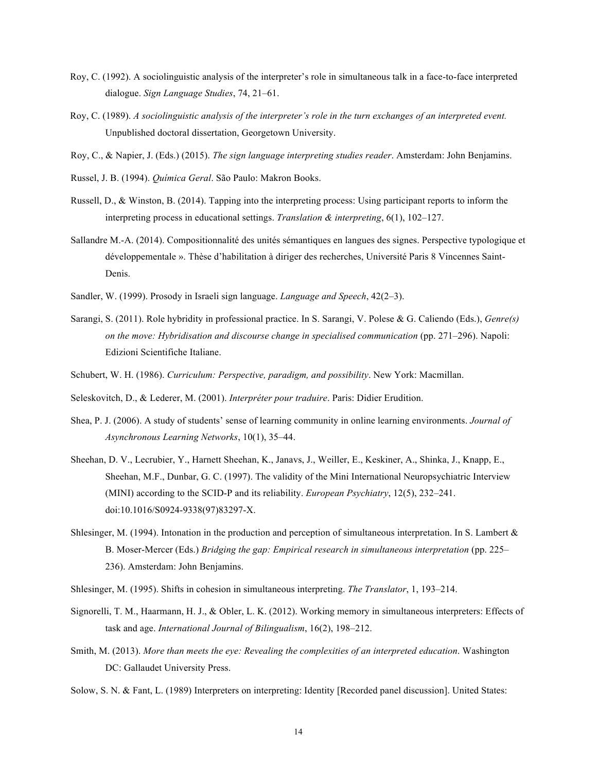- Roy, C. (1992). A sociolinguistic analysis of the interpreter's role in simultaneous talk in a face-to-face interpreted dialogue. *Sign Language Studies*, 74, 21–61.
- Roy, C. (1989). *A sociolinguistic analysis of the interpreter's role in the turn exchanges of an interpreted event.*  Unpublished doctoral dissertation, Georgetown University.
- Roy, C., & Napier, J. (Eds.) (2015). *The sign language interpreting studies reader*. Amsterdam: John Benjamins.
- Russel, J. B. (1994). *Química Geral*. São Paulo: Makron Books.
- Russell, D., & Winston, B. (2014). Tapping into the interpreting process: Using participant reports to inform the  interpreting process in educational settings. *Translation & interpreting*, 6(1), 102–127.
- Sallandre M.-A. (2014). Compositionnalité des unités sémantiques en langues des signes. Perspective typologique et développementale ». Thèse d'habilitation à diriger des recherches, Université Paris 8 Vincennes Saint-Denis.
- Sandler, W. (1999). Prosody in Israeli sign language. *Language and Speech*, 42(2–3).
- Sarangi, S. (2011). Role hybridity in professional practice. In S. Sarangi, V. Polese & G. Caliendo (Eds.), *Genre(s) on the move: Hybridisation and discourse change in specialised communication* (pp. 271–296). Napoli: Edizioni Scientifiche Italiane.
- Schubert, W. H. (1986). *Curriculum: Perspective, paradigm, and possibility*. New York: Macmillan.
- Seleskovitch, D., & Lederer, M. (2001). *Interpréter pour traduire*. Paris: Didier Erudition.
- Shea, P. J. (2006). A study of students' sense of learning community in online learning environments. *Journal of Asynchronous Learning Networks*, 10(1), 35–44.
- Sheehan, D. V., Lecrubier, Y., Harnett Sheehan, K., Janavs, J., Weiller, E., Keskiner, A., Shinka, J., Knapp, E., Sheehan, M.F., Dunbar, G. C. (1997). The validity of the Mini International Neuropsychiatric Interview (MINI) according to the SCID-P and its reliability. *European Psychiatry*, 12(5), 232–241. doi:10.1016/S0924-9338(97)83297-X.
- Shlesinger, M. (1994). Intonation in the production and perception of simultaneous interpretation. In S. Lambert  $\&$ B. Moser-Mercer (Eds.) *Bridging the gap: Empirical research in simultaneous interpretation* (pp. 225– 236). Amsterdam: John Benjamins.
- Shlesinger, M. (1995). Shifts in cohesion in simultaneous interpreting. *The Translator*, 1, 193–214.
- Signorelli, T. M., Haarmann, H. J., & Obler, L. K. (2012). Working memory in simultaneous interpreters: Effects of  task and age. *International Journal of Bilingualism*, 16(2), 198–212.
- Smith, M. (2013). *More than meets the eye: Revealing the complexities of an interpreted education*. Washington DC: Gallaudet University Press.
- Solow, S. N. & Fant, L. (1989) Interpreters on interpreting: Identity [Recorded panel discussion]. United States: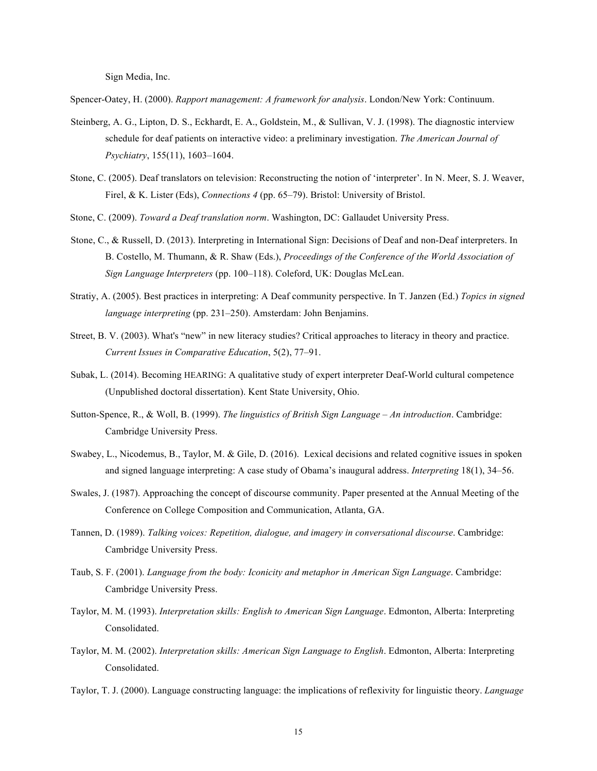Sign Media, Inc.

Spencer-Oatey, H. (2000). *Rapport management: A framework for analysis*. London/New York: Continuum.

- Steinberg, A. G., Lipton, D. S., Eckhardt, E. A., Goldstein, M., & Sullivan, V. J. (1998). The diagnostic interview schedule for deaf patients on interactive video: a preliminary investigation. *The American Journal of Psychiatry*, 155(11), 1603–1604.
- Stone, C. (2005). Deaf translators on television: Reconstructing the notion of 'interpreter'. In N. Meer, S. J. Weaver, Firel, & K. Lister (Eds), *Connections 4* (pp. 65–79). Bristol: University of Bristol.
- Stone, C. (2009). *Toward a Deaf translation norm*. Washington, DC: Gallaudet University Press.
- Stone, C., & Russell, D. (2013). Interpreting in International Sign: Decisions of Deaf and non-Deaf interpreters. In B. Costello, M. Thumann, & R. Shaw (Eds.), *Proceedings of the Conference of the World Association of Sign Language Interpreters* (pp. 100–118). Coleford, UK: Douglas McLean.
- Stratiy, A. (2005). Best practices in interpreting: A Deaf community perspective. In T. Janzen (Ed.) *Topics in signed language interpreting* (pp. 231–250). Amsterdam: John Benjamins.
- Street, B. V. (2003). What's "new" in new literacy studies? Critical approaches to literacy in theory and practice.  *Current Issues in Comparative Education*, 5(2), 77–91.
- Subak, L. (2014). Becoming HEARING: A qualitative study of expert interpreter Deaf-World cultural competence (Unpublished doctoral dissertation). Kent State University, Ohio.
- Sutton-Spence, R., & Woll, B. (1999). *The linguistics of British Sign Language An introduction*. Cambridge: Cambridge University Press.
- Swabey, L., Nicodemus, B., Taylor, M. & Gile, D. (2016). Lexical decisions and related cognitive issues in spoken and signed language interpreting: A case study of Obama's inaugural address. *Interpreting* 18(1), 34–56.
- Swales, J. (1987). Approaching the concept of discourse community. Paper presented at the Annual Meeting of the Conference on College Composition and Communication, Atlanta, GA.
- Tannen, D. (1989). *Talking voices: Repetition, dialogue, and imagery in conversational discourse*. Cambridge: Cambridge University Press.
- Taub, S. F. (2001). *Language from the body: Iconicity and metaphor in American Sign Language*. Cambridge: Cambridge University Press.
- Taylor, M. M. (1993). *Interpretation skills: English to American Sign Language*. Edmonton, Alberta: Interpreting Consolidated.
- Taylor, M. M. (2002). *Interpretation skills: American Sign Language to English*. Edmonton, Alberta: Interpreting Consolidated.
- Taylor, T. J. (2000). Language constructing language: the implications of reflexivity for linguistic theory. *Language*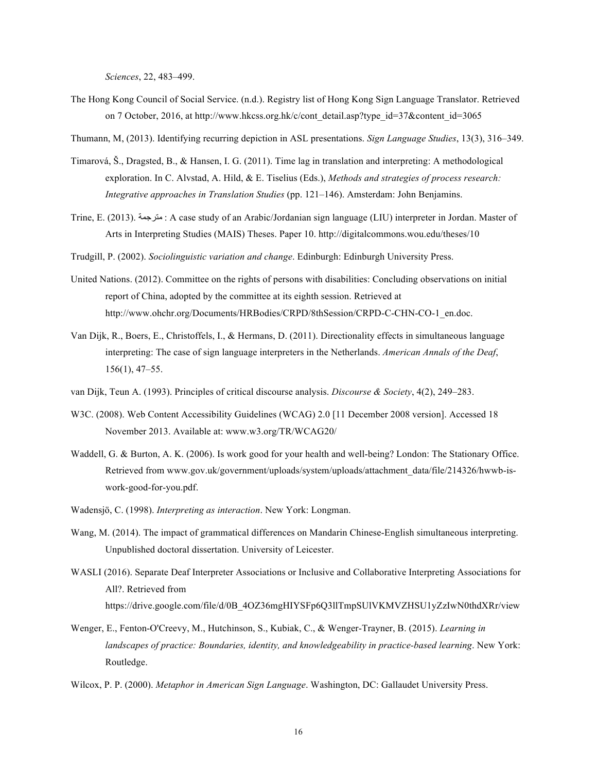*Sciences*, 22, 483–499.

- The Hong Kong Council of Social Service. (n.d.). Registry list of Hong Kong Sign Language Translator. Retrieved on 7 October, 2016, at http://www.hkcss.org.hk/c/cont\_detail.asp?type\_id=37&content\_id=3065
- Thumann, M, (2013). Identifying recurring depiction in ASL presentations. *Sign Language Studies*, 13(3), 316–349.
- Timarová, Š., Dragsted, B., & Hansen, I. G. (2011). Time lag in translation and interpreting: A methodological exploration. In C. Alvstad, A. Hild, & E. Tiselius (Eds.), *Methods and strategies of process research: Integrative approaches in Translation Studies* (pp. 121–146). Amsterdam: John Benjamins.
- Trine, E. (2013). جمةرتم : A case study of an Arabic/Jordanian sign language (LIU) interpreter in Jordan. Master of Arts in Interpreting Studies (MAIS) Theses. Paper 10. http://digitalcommons.wou.edu/theses/10
- Trudgill, P. (2002). *Sociolinguistic variation and change*. Edinburgh: Edinburgh University Press.
- United Nations. (2012). Committee on the rights of persons with disabilities: Concluding observations on initial report of China, adopted by the committee at its eighth session. Retrieved at http://www.ohchr.org/Documents/HRBodies/CRPD/8thSession/CRPD-C-CHN-CO-1\_en.doc.
- Van Dijk, R., Boers, E., Christoffels, I., & Hermans, D. (2011). Directionality effects in simultaneous language  interpreting: The case of sign language interpreters in the Netherlands. *American Annals of the Deaf*, 156(1), 47–55.
- van Dijk, Teun A. (1993). Principles of critical discourse analysis. *Discourse & Society*, 4(2), 249–283.
- W3C. (2008). Web Content Accessibility Guidelines (WCAG) 2.0 [11 December 2008 version]. Accessed 18 November 2013. Available at: www.w3.org/TR/WCAG20/
- Waddell, G. & Burton, A. K. (2006). Is work good for your health and well-being? London: The Stationary Office. Retrieved from www.gov.uk/government/uploads/system/uploads/attachment\_data/file/214326/hwwb-iswork-good-for-you.pdf.
- Wadensjö, C. (1998). *Interpreting as interaction*. New York: Longman.
- Wang, M. (2014). The impact of grammatical differences on Mandarin Chinese-English simultaneous interpreting. Unpublished doctoral dissertation. University of Leicester.
- WASLI (2016). Separate Deaf Interpreter Associations or Inclusive and Collaborative Interpreting Associations for All?. Retrieved from https://drive.google.com/file/d/0B\_4OZ36mgHIYSFp6Q3llTmpSUlVKMVZHSU1yZzIwN0thdXRr/view
- Wenger, E., Fenton-O'Creevy, M., Hutchinson, S., Kubiak, C., & Wenger-Trayner, B. (2015). *Learning in landscapes of practice: Boundaries, identity, and knowledgeability in practice-based learning*. New York: Routledge.
- Wilcox, P. P. (2000). *Metaphor in American Sign Language*. Washington, DC: Gallaudet University Press.